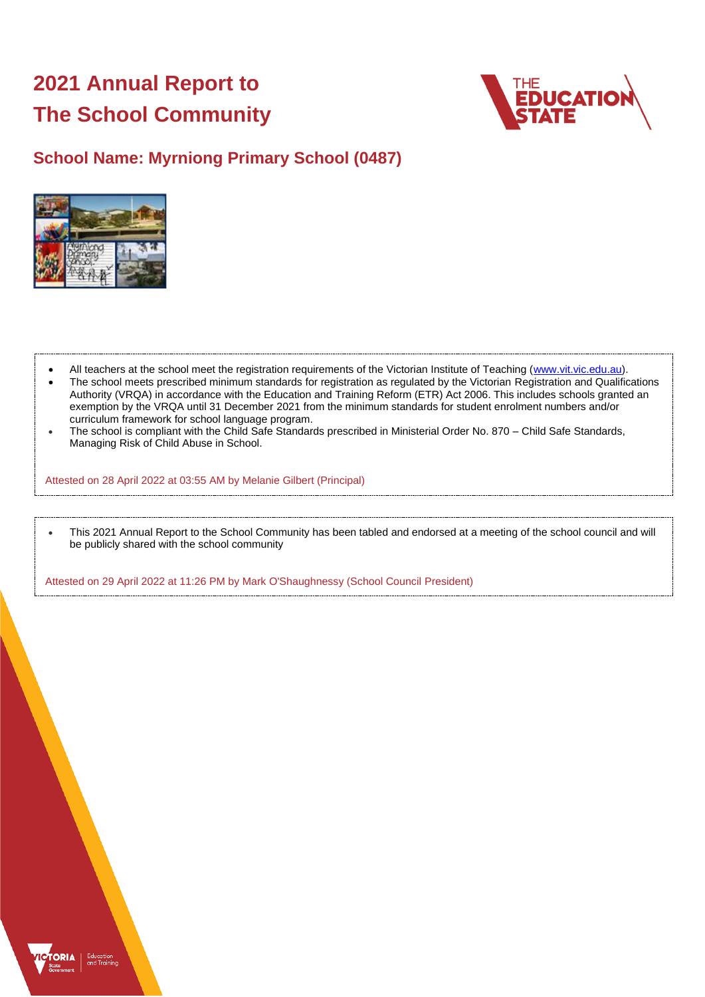# **2021 Annual Report to The School Community**



# **School Name: Myrniong Primary School (0487)**



- All teachers at the school meet the registration requirements of the Victorian Institute of Teaching [\(www.vit.vic.edu.au\)](https://www.vit.vic.edu.au/).
- The school meets prescribed minimum standards for registration as regulated by the Victorian Registration and Qualifications Authority (VRQA) in accordance with the Education and Training Reform (ETR) Act 2006. This includes schools granted an exemption by the VRQA until 31 December 2021 from the minimum standards for student enrolment numbers and/or curriculum framework for school language program.
- The school is compliant with the Child Safe Standards prescribed in Ministerial Order No. 870 Child Safe Standards, Managing Risk of Child Abuse in School.

Attested on 28 April 2022 at 03:55 AM by Melanie Gilbert (Principal)

• This 2021 Annual Report to the School Community has been tabled and endorsed at a meeting of the school council and will be publicly shared with the school community

Attested on 29 April 2022 at 11:26 PM by Mark O'Shaughnessy (School Council President)

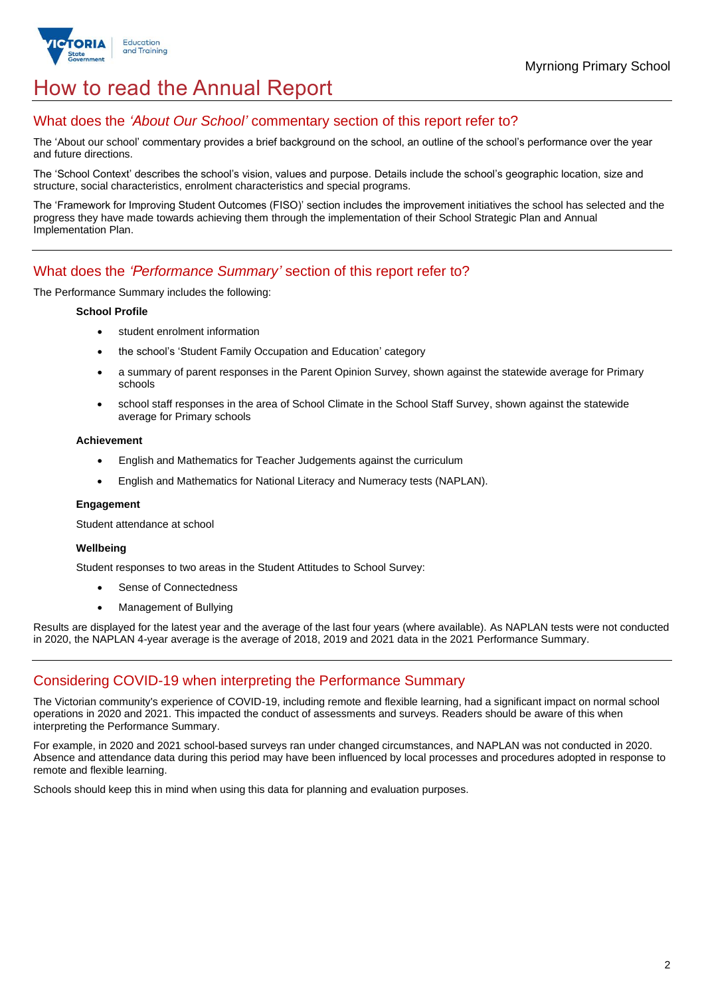

# How to read the Annual Report

## What does the *'About Our School'* commentary section of this report refer to?

The 'About our school' commentary provides a brief background on the school, an outline of the school's performance over the year and future directions.

The 'School Context' describes the school's vision, values and purpose. Details include the school's geographic location, size and structure, social characteristics, enrolment characteristics and special programs.

The 'Framework for Improving Student Outcomes (FISO)' section includes the improvement initiatives the school has selected and the progress they have made towards achieving them through the implementation of their School Strategic Plan and Annual Implementation Plan.

## What does the *'Performance Summary'* section of this report refer to?

The Performance Summary includes the following:

#### **School Profile**

- student enrolment information
- the school's 'Student Family Occupation and Education' category
- a summary of parent responses in the Parent Opinion Survey, shown against the statewide average for Primary schools
- school staff responses in the area of School Climate in the School Staff Survey, shown against the statewide average for Primary schools

#### **Achievement**

- English and Mathematics for Teacher Judgements against the curriculum
- English and Mathematics for National Literacy and Numeracy tests (NAPLAN).

### **Engagement**

Student attendance at school

### **Wellbeing**

Student responses to two areas in the Student Attitudes to School Survey:

- Sense of Connectedness
- Management of Bullying

Results are displayed for the latest year and the average of the last four years (where available). As NAPLAN tests were not conducted in 2020, the NAPLAN 4-year average is the average of 2018, 2019 and 2021 data in the 2021 Performance Summary.

## Considering COVID-19 when interpreting the Performance Summary

The Victorian community's experience of COVID-19, including remote and flexible learning, had a significant impact on normal school operations in 2020 and 2021. This impacted the conduct of assessments and surveys. Readers should be aware of this when interpreting the Performance Summary.

For example, in 2020 and 2021 school-based surveys ran under changed circumstances, and NAPLAN was not conducted in 2020. Absence and attendance data during this period may have been influenced by local processes and procedures adopted in response to remote and flexible learning.

Schools should keep this in mind when using this data for planning and evaluation purposes.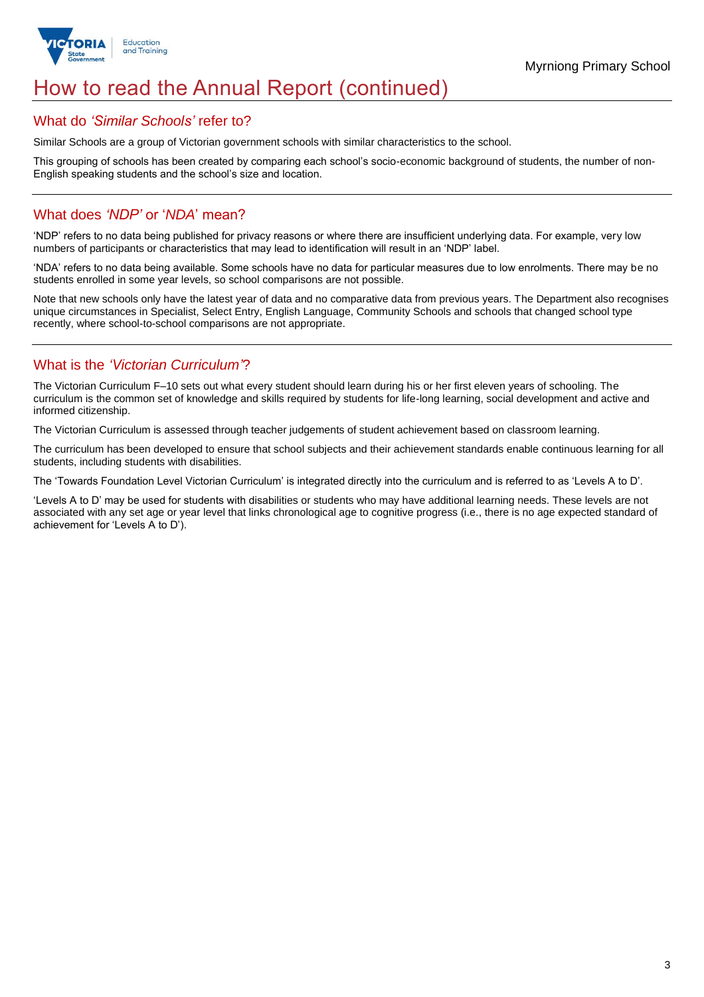

# How to read the Annual Report (continued)

## What do *'Similar Schools'* refer to?

Similar Schools are a group of Victorian government schools with similar characteristics to the school.

This grouping of schools has been created by comparing each school's socio-economic background of students, the number of non-English speaking students and the school's size and location.

## What does *'NDP'* or '*NDA*' mean?

'NDP' refers to no data being published for privacy reasons or where there are insufficient underlying data. For example, very low numbers of participants or characteristics that may lead to identification will result in an 'NDP' label.

'NDA' refers to no data being available. Some schools have no data for particular measures due to low enrolments. There may be no students enrolled in some year levels, so school comparisons are not possible.

Note that new schools only have the latest year of data and no comparative data from previous years. The Department also recognises unique circumstances in Specialist, Select Entry, English Language, Community Schools and schools that changed school type recently, where school-to-school comparisons are not appropriate.

# What is the *'Victorian Curriculum'*?

The Victorian Curriculum F–10 sets out what every student should learn during his or her first eleven years of schooling. The curriculum is the common set of knowledge and skills required by students for life-long learning, social development and active and informed citizenship.

The Victorian Curriculum is assessed through teacher judgements of student achievement based on classroom learning.

The curriculum has been developed to ensure that school subjects and their achievement standards enable continuous learning for all students, including students with disabilities.

The 'Towards Foundation Level Victorian Curriculum' is integrated directly into the curriculum and is referred to as 'Levels A to D'.

'Levels A to D' may be used for students with disabilities or students who may have additional learning needs. These levels are not associated with any set age or year level that links chronological age to cognitive progress (i.e., there is no age expected standard of achievement for 'Levels A to D').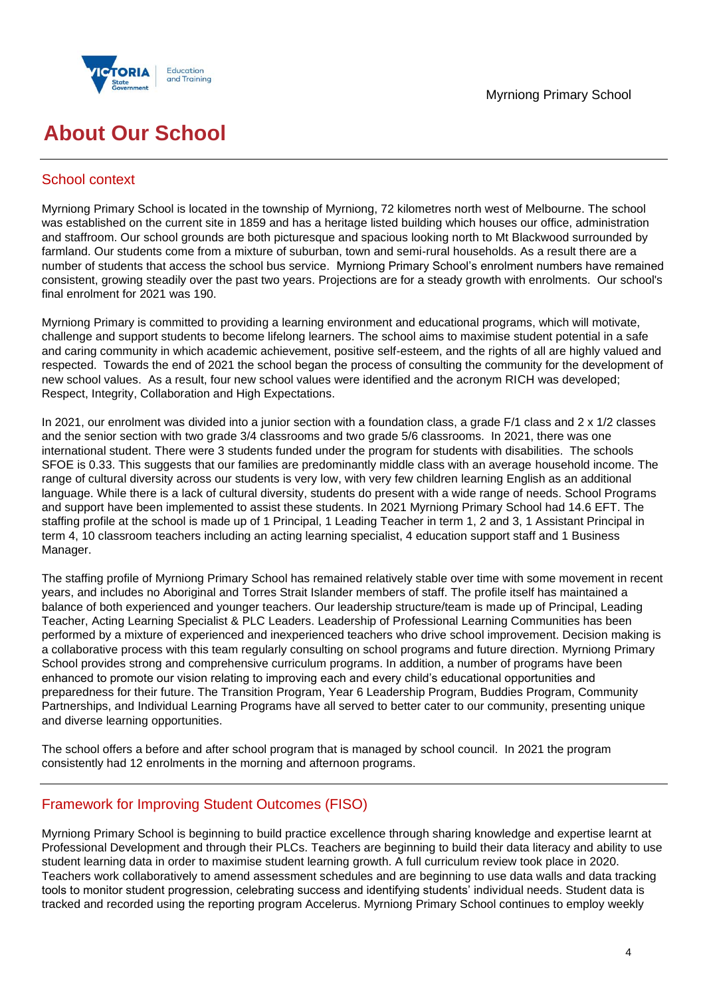



# **About Our School**

## School context

Myrniong Primary School is located in the township of Myrniong, 72 kilometres north west of Melbourne. The school was established on the current site in 1859 and has a heritage listed building which houses our office, administration and staffroom. Our school grounds are both picturesque and spacious looking north to Mt Blackwood surrounded by farmland. Our students come from a mixture of suburban, town and semi-rural households. As a result there are a number of students that access the school bus service. Myrniong Primary School's enrolment numbers have remained consistent, growing steadily over the past two years. Projections are for a steady growth with enrolments. Our school's final enrolment for 2021 was 190.

Myrniong Primary is committed to providing a learning environment and educational programs, which will motivate, challenge and support students to become lifelong learners. The school aims to maximise student potential in a safe and caring community in which academic achievement, positive self-esteem, and the rights of all are highly valued and respected. Towards the end of 2021 the school began the process of consulting the community for the development of new school values. As a result, four new school values were identified and the acronym RICH was developed; Respect, Integrity, Collaboration and High Expectations.

In 2021, our enrolment was divided into a junior section with a foundation class, a grade F/1 class and 2 x 1/2 classes and the senior section with two grade 3/4 classrooms and two grade 5/6 classrooms. In 2021, there was one international student. There were 3 students funded under the program for students with disabilities. The schools SFOE is 0.33. This suggests that our families are predominantly middle class with an average household income. The range of cultural diversity across our students is very low, with very few children learning English as an additional language. While there is a lack of cultural diversity, students do present with a wide range of needs. School Programs and support have been implemented to assist these students. In 2021 Myrniong Primary School had 14.6 EFT. The staffing profile at the school is made up of 1 Principal, 1 Leading Teacher in term 1, 2 and 3, 1 Assistant Principal in term 4, 10 classroom teachers including an acting learning specialist, 4 education support staff and 1 Business Manager.

The staffing profile of Myrniong Primary School has remained relatively stable over time with some movement in recent years, and includes no Aboriginal and Torres Strait Islander members of staff. The profile itself has maintained a balance of both experienced and younger teachers. Our leadership structure/team is made up of Principal, Leading Teacher, Acting Learning Specialist & PLC Leaders. Leadership of Professional Learning Communities has been performed by a mixture of experienced and inexperienced teachers who drive school improvement. Decision making is a collaborative process with this team regularly consulting on school programs and future direction. Myrniong Primary School provides strong and comprehensive curriculum programs. In addition, a number of programs have been enhanced to promote our vision relating to improving each and every child's educational opportunities and preparedness for their future. The Transition Program, Year 6 Leadership Program, Buddies Program, Community Partnerships, and Individual Learning Programs have all served to better cater to our community, presenting unique and diverse learning opportunities.

The school offers a before and after school program that is managed by school council. In 2021 the program consistently had 12 enrolments in the morning and afternoon programs.

# Framework for Improving Student Outcomes (FISO)

Myrniong Primary School is beginning to build practice excellence through sharing knowledge and expertise learnt at Professional Development and through their PLCs. Teachers are beginning to build their data literacy and ability to use student learning data in order to maximise student learning growth. A full curriculum review took place in 2020. Teachers work collaboratively to amend assessment schedules and are beginning to use data walls and data tracking tools to monitor student progression, celebrating success and identifying students' individual needs. Student data is tracked and recorded using the reporting program Accelerus. Myrniong Primary School continues to employ weekly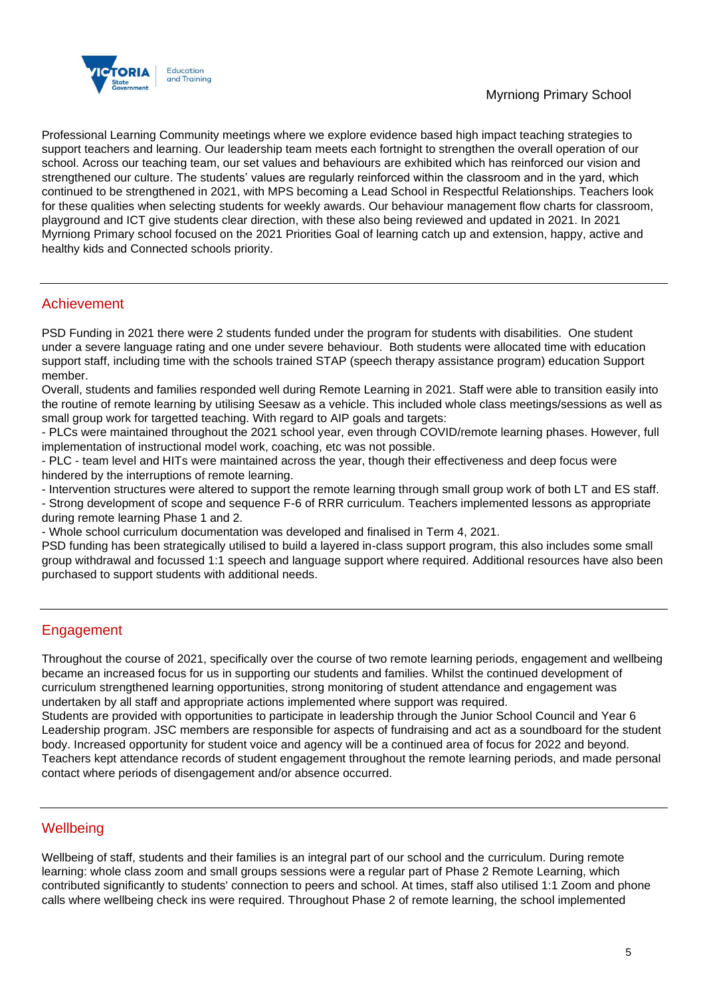

Professional Learning Community meetings where we explore evidence based high impact teaching strategies to support teachers and learning. Our leadership team meets each fortnight to strengthen the overall operation of our school. Across our teaching team, our set values and behaviours are exhibited which has reinforced our vision and strengthened our culture. The students' values are regularly reinforced within the classroom and in the yard, which continued to be strengthened in 2021, with MPS becoming a Lead School in Respectful Relationships. Teachers look for these qualities when selecting students for weekly awards. Our behaviour management flow charts for classroom, playground and ICT give students clear direction, with these also being reviewed and updated in 2021. In 2021 Myrniong Primary school focused on the 2021 Priorities Goal of learning catch up and extension, happy, active and healthy kids and Connected schools priority.

## Achievement

PSD Funding in 2021 there were 2 students funded under the program for students with disabilities. One student under a severe language rating and one under severe behaviour. Both students were allocated time with education support staff, including time with the schools trained STAP (speech therapy assistance program) education Support member.

Overall, students and families responded well during Remote Learning in 2021. Staff were able to transition easily into the routine of remote learning by utilising Seesaw as a vehicle. This included whole class meetings/sessions as well as small group work for targetted teaching. With regard to AIP goals and targets:

- PLCs were maintained throughout the 2021 school year, even through COVID/remote learning phases. However, full implementation of instructional model work, coaching, etc was not possible.

- PLC - team level and HITs were maintained across the year, though their effectiveness and deep focus were hindered by the interruptions of remote learning.

- Intervention structures were altered to support the remote learning through small group work of both LT and ES staff.

- Strong development of scope and sequence F-6 of RRR curriculum. Teachers implemented lessons as appropriate during remote learning Phase 1 and 2.

- Whole school curriculum documentation was developed and finalised in Term 4, 2021.

PSD funding has been strategically utilised to build a layered in-class support program, this also includes some small group withdrawal and focussed 1:1 speech and language support where required. Additional resources have also been purchased to support students with additional needs.

## **Engagement**

Throughout the course of 2021, specifically over the course of two remote learning periods, engagement and wellbeing became an increased focus for us in supporting our students and families. Whilst the continued development of curriculum strengthened learning opportunities, strong monitoring of student attendance and engagement was undertaken by all staff and appropriate actions implemented where support was required.

Students are provided with opportunities to participate in leadership through the Junior School Council and Year 6 Leadership program. JSC members are responsible for aspects of fundraising and act as a soundboard for the student body. Increased opportunity for student voice and agency will be a continued area of focus for 2022 and beyond. Teachers kept attendance records of student engagement throughout the remote learning periods, and made personal contact where periods of disengagement and/or absence occurred.

## **Wellbeing**

Wellbeing of staff, students and their families is an integral part of our school and the curriculum. During remote learning: whole class zoom and small groups sessions were a regular part of Phase 2 Remote Learning, which contributed significantly to students' connection to peers and school. At times, staff also utilised 1:1 Zoom and phone calls where wellbeing check ins were required. Throughout Phase 2 of remote learning, the school implemented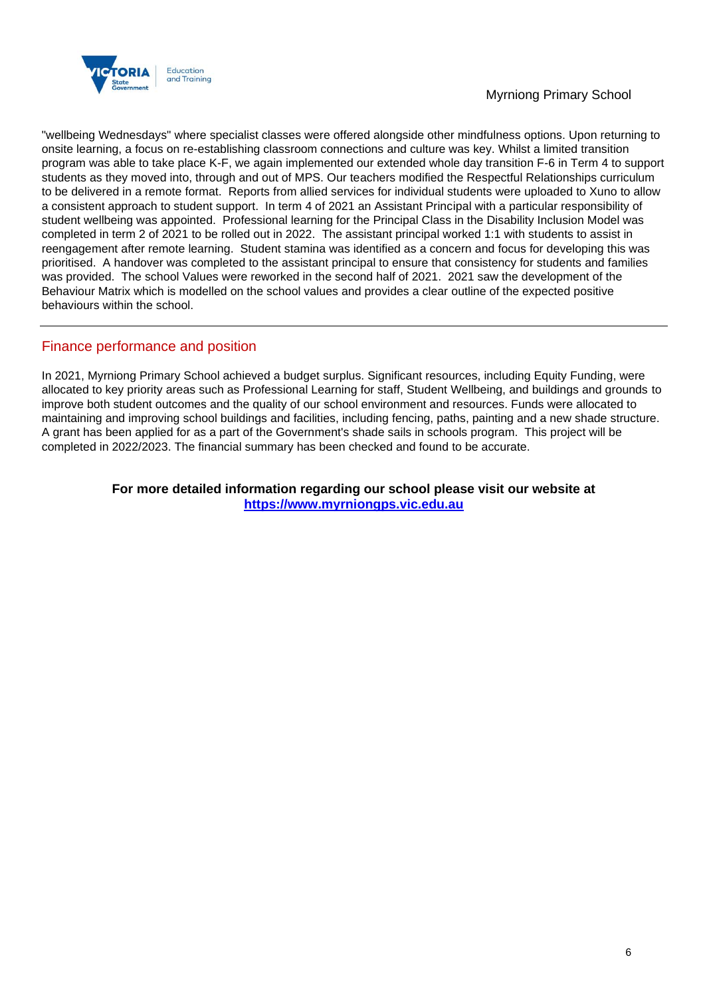

## Myrniong Primary School

"wellbeing Wednesdays" where specialist classes were offered alongside other mindfulness options. Upon returning to onsite learning, a focus on re-establishing classroom connections and culture was key. Whilst a limited transition program was able to take place K-F, we again implemented our extended whole day transition F-6 in Term 4 to support students as they moved into, through and out of MPS. Our teachers modified the Respectful Relationships curriculum to be delivered in a remote format. Reports from allied services for individual students were uploaded to Xuno to allow a consistent approach to student support. In term 4 of 2021 an Assistant Principal with a particular responsibility of student wellbeing was appointed. Professional learning for the Principal Class in the Disability Inclusion Model was completed in term 2 of 2021 to be rolled out in 2022. The assistant principal worked 1:1 with students to assist in reengagement after remote learning. Student stamina was identified as a concern and focus for developing this was prioritised. A handover was completed to the assistant principal to ensure that consistency for students and families was provided. The school Values were reworked in the second half of 2021. 2021 saw the development of the Behaviour Matrix which is modelled on the school values and provides a clear outline of the expected positive behaviours within the school.

## Finance performance and position

In 2021, Myrniong Primary School achieved a budget surplus. Significant resources, including Equity Funding, were allocated to key priority areas such as Professional Learning for staff, Student Wellbeing, and buildings and grounds to improve both student outcomes and the quality of our school environment and resources. Funds were allocated to maintaining and improving school buildings and facilities, including fencing, paths, painting and a new shade structure. A grant has been applied for as a part of the Government's shade sails in schools program. This project will be completed in 2022/2023. The financial summary has been checked and found to be accurate.

## **For more detailed information regarding our school please visit our website at [https://www.myrniongps.vic.edu.au](https://www.myrniongps.vic.edu.au/)**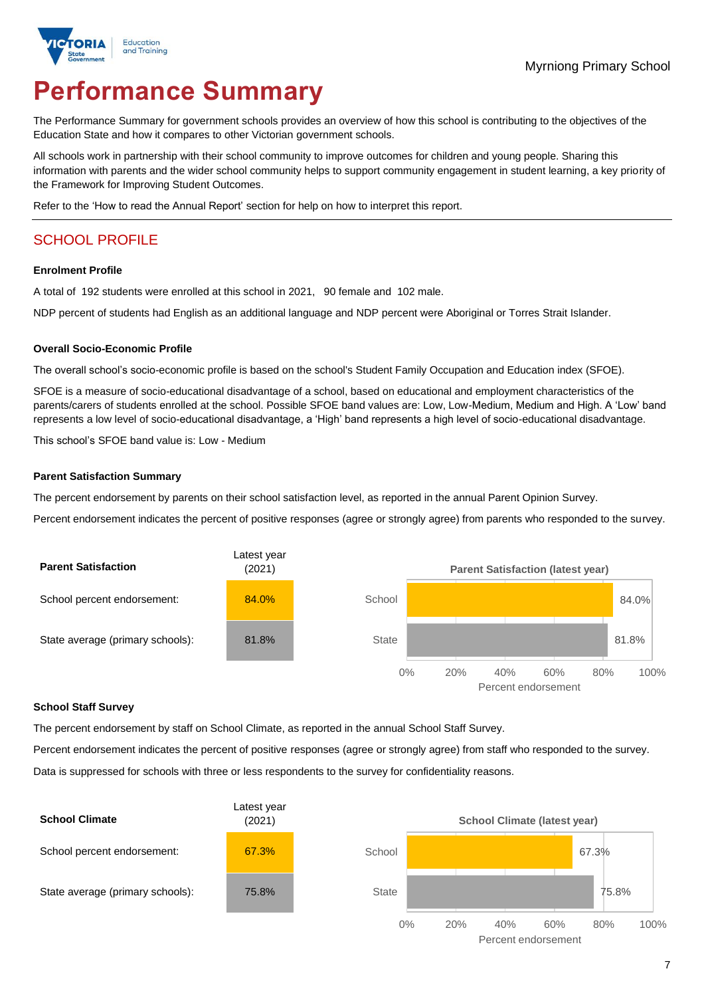

# **Performance Summary**

The Performance Summary for government schools provides an overview of how this school is contributing to the objectives of the Education State and how it compares to other Victorian government schools.

All schools work in partnership with their school community to improve outcomes for children and young people. Sharing this information with parents and the wider school community helps to support community engagement in student learning, a key priority of the Framework for Improving Student Outcomes.

Refer to the 'How to read the Annual Report' section for help on how to interpret this report.

# SCHOOL PROFILE

#### **Enrolment Profile**

A total of 192 students were enrolled at this school in 2021, 90 female and 102 male.

NDP percent of students had English as an additional language and NDP percent were Aboriginal or Torres Strait Islander.

#### **Overall Socio-Economic Profile**

The overall school's socio-economic profile is based on the school's Student Family Occupation and Education index (SFOE).

SFOE is a measure of socio-educational disadvantage of a school, based on educational and employment characteristics of the parents/carers of students enrolled at the school. Possible SFOE band values are: Low, Low-Medium, Medium and High. A 'Low' band represents a low level of socio-educational disadvantage, a 'High' band represents a high level of socio-educational disadvantage.

This school's SFOE band value is: Low - Medium

#### **Parent Satisfaction Summary**

The percent endorsement by parents on their school satisfaction level, as reported in the annual Parent Opinion Survey.

Percent endorsement indicates the percent of positive responses (agree or strongly agree) from parents who responded to the survey.



### **School Staff Survey**

The percent endorsement by staff on School Climate, as reported in the annual School Staff Survey.

Percent endorsement indicates the percent of positive responses (agree or strongly agree) from staff who responded to the survey. Data is suppressed for schools with three or less respondents to the survey for confidentiality reasons.

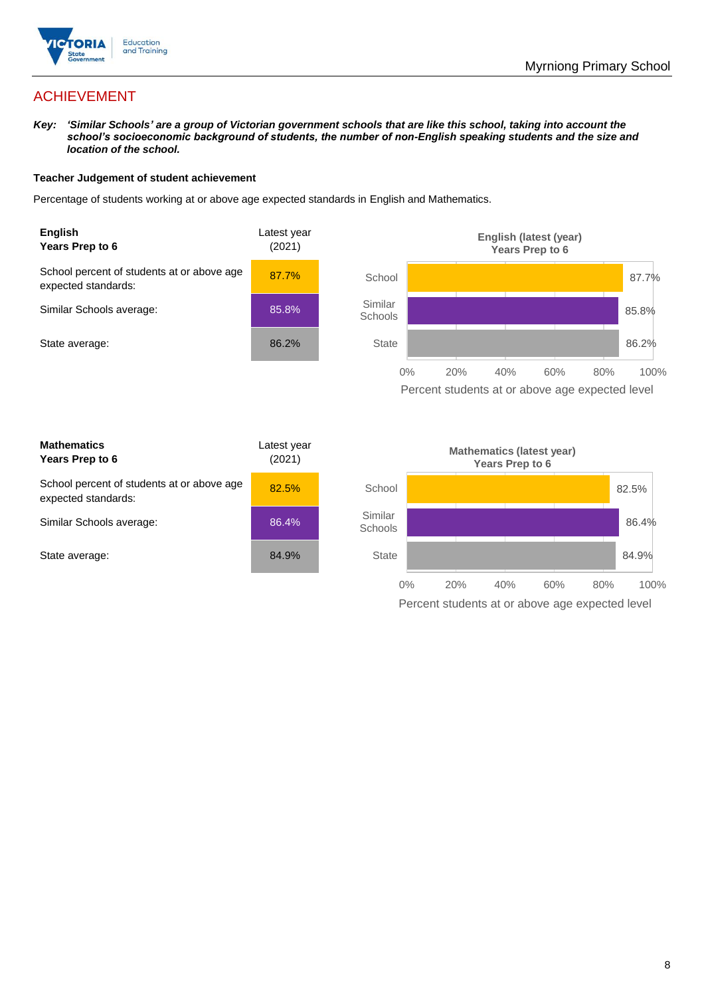

# ACHIEVEMENT

*Key: 'Similar Schools' are a group of Victorian government schools that are like this school, taking into account the school's socioeconomic background of students, the number of non-English speaking students and the size and location of the school.*

### **Teacher Judgement of student achievement**

Percentage of students working at or above age expected standards in English and Mathematics.



Percent students at or above age expected level

| <b>Mathematics</b><br>Years Prep to 6                             | Latest year<br>(2021) |
|-------------------------------------------------------------------|-----------------------|
| School percent of students at or above age<br>expected standards: | 82.5%                 |
| Similar Schools average:                                          | 86.4%                 |
| State average:                                                    | 84.9%                 |

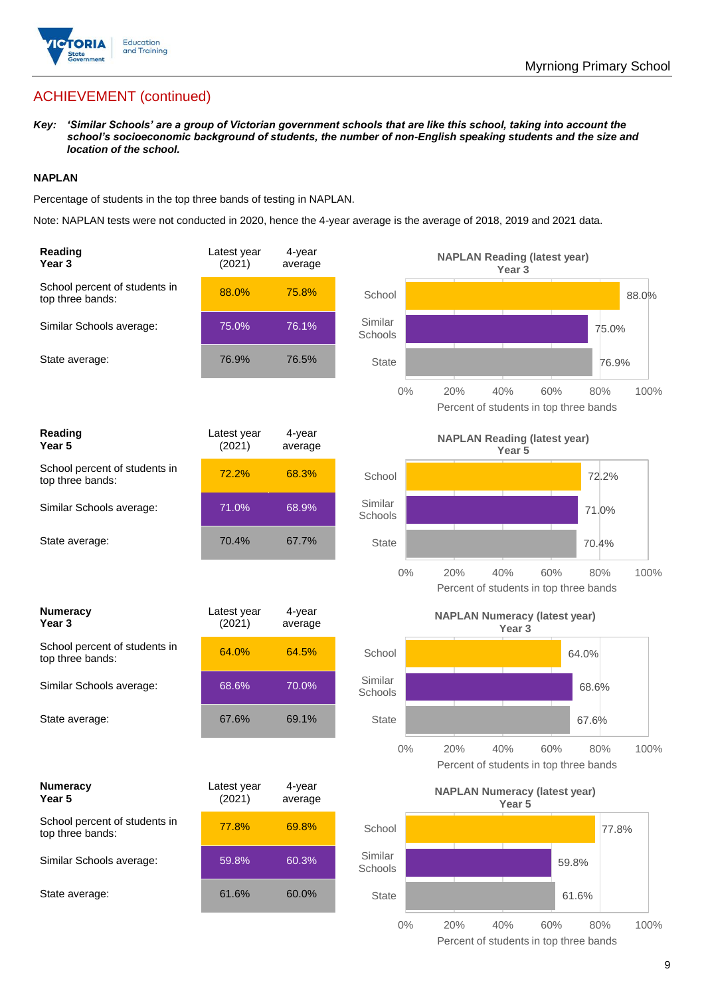

# ACHIEVEMENT (continued)

*Key: 'Similar Schools' are a group of Victorian government schools that are like this school, taking into account the school's socioeconomic background of students, the number of non-English speaking students and the size and location of the school.*

## **NAPLAN**

Percentage of students in the top three bands of testing in NAPLAN.

Note: NAPLAN tests were not conducted in 2020, hence the 4-year average is the average of 2018, 2019 and 2021 data.

| Reading<br>Year 3                                 | Latest year<br>(2021) | 4-year<br>average |                    | <b>NAPLAN Reading (latest year)</b><br>Year <sub>3</sub>    |             |
|---------------------------------------------------|-----------------------|-------------------|--------------------|-------------------------------------------------------------|-------------|
| School percent of students in<br>top three bands: | 88.0%                 | 75.8%             | School             |                                                             | 88.0%       |
| Similar Schools average:                          | 75.0%                 | 76.1%             | Similar<br>Schools |                                                             | 75.0%       |
| State average:                                    | 76.9%                 | 76.5%             | <b>State</b>       |                                                             | 76.9%       |
|                                                   |                       |                   | $0\%$              | 20%<br>40%<br>60%<br>Percent of students in top three bands | 100%<br>80% |
| Reading<br>Year <sub>5</sub>                      | Latest year<br>(2021) | 4-year<br>average |                    | <b>NAPLAN Reading (latest year)</b><br>Year <sub>5</sub>    |             |
| School percent of students in<br>top three bands: | 72.2%                 | 68.3%             | School             |                                                             | 72.2%       |
| Similar Schools average:                          | 71.0%                 | 68.9%             | Similar<br>Schools |                                                             | 71.0%       |
| State average:                                    | 70.4%                 | 67.7%             | <b>State</b>       |                                                             | 70.4%       |
|                                                   |                       |                   | $0\%$              | 20%<br>40%<br>60%<br>Percent of students in top three bands | 100%<br>80% |
| <b>Numeracy</b><br>Year 3                         | Latest year<br>(2021) | 4-year<br>average |                    | <b>NAPLAN Numeracy (latest year)</b><br>Year <sub>3</sub>   |             |
| School percent of students in<br>top three bands: | 64.0%                 | 64.5%             | School             |                                                             | 64.0%       |
| Similar Schools average:                          | 68.6%                 | 70.0%             | Similar<br>Schools |                                                             | 68.6%       |
| State average:                                    | 67.6%                 | 69.1%             | <b>State</b>       |                                                             | 67.6%       |
|                                                   |                       |                   | $0\%$              | 20%<br>40%<br>60%<br>Percent of students in top three bands | 80%<br>100% |
| <b>Numeracy</b><br>Year 5                         | Latest year<br>(2021) | 4-year<br>average |                    | <b>NAPLAN Numeracy (latest year)</b><br>Year 5              |             |
| School percent of students in<br>top three bands: | 77.8%                 | 69.8%             | School             |                                                             | 77.8%       |
| Similar Schools average:                          | 59.8%                 | 60.3%             | Similar<br>Schools |                                                             | 59.8%       |
| State average:                                    | 61.6%                 | 60.0%             | State              |                                                             | 61.6%       |
|                                                   |                       |                   | $0\%$              | 20%<br>40%<br>60%                                           | 80%<br>100% |

Percent of students in top three bands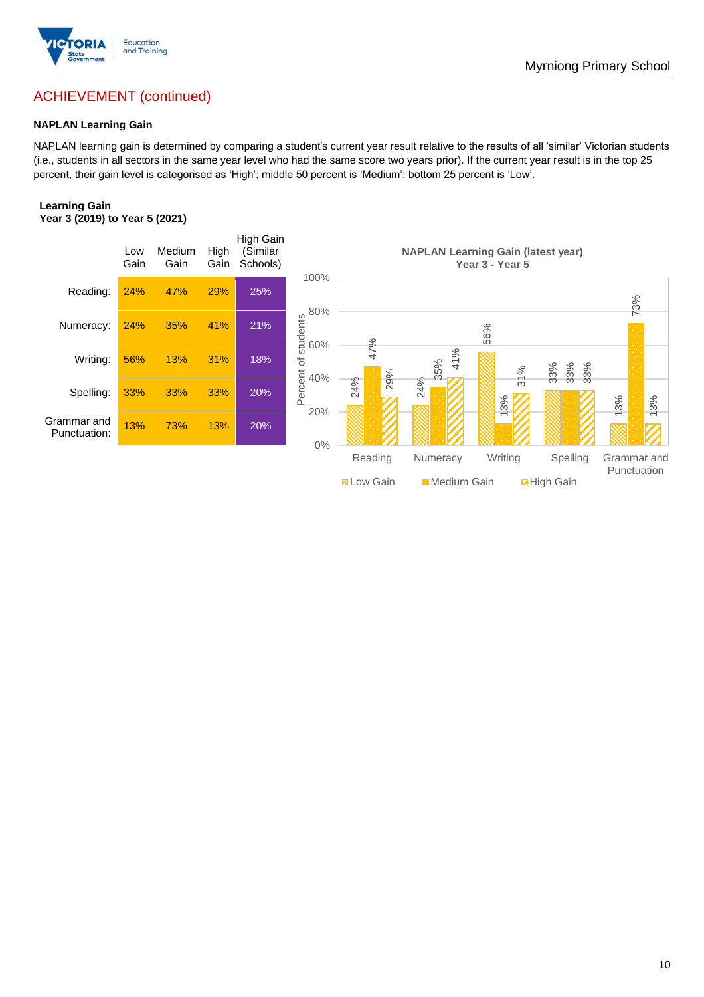

# ACHIEVEMENT (continued)

## **NAPLAN Learning Gain**

NAPLAN learning gain is determined by comparing a student's current year result relative to the results of all 'similar' Victorian students (i.e., students in all sectors in the same year level who had the same score two years prior). If the current year result is in the top 25 percent, their gain level is categorised as 'High'; middle 50 percent is 'Medium'; bottom 25 percent is 'Low'.

### **Learning Gain Year 3 (2019) to Year 5 (2021)**

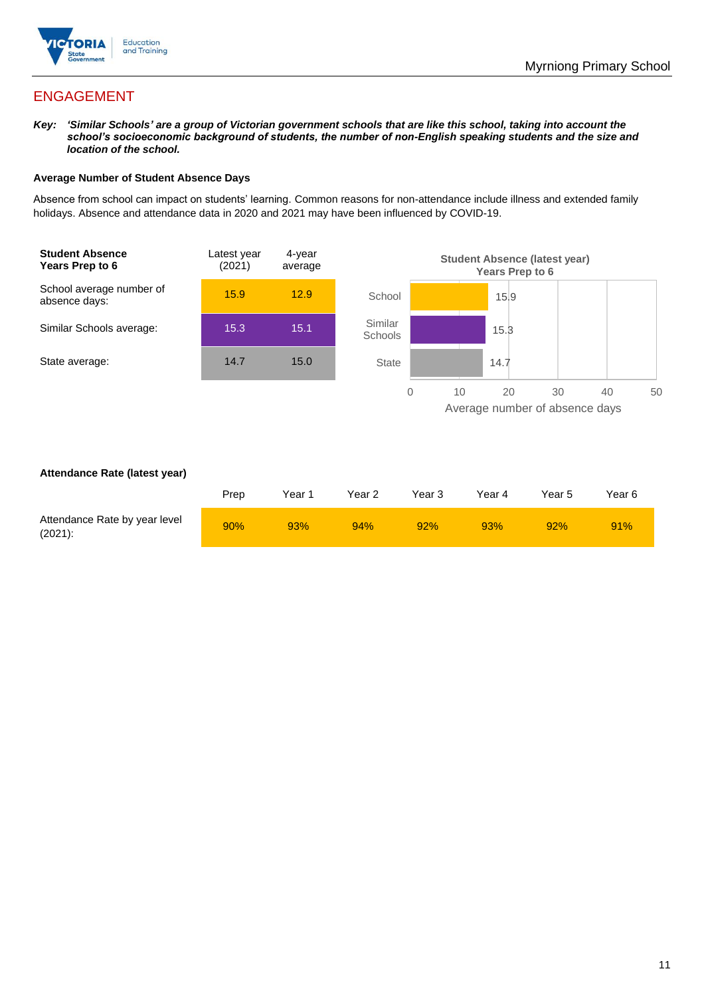

# ENGAGEMENT

*Key: 'Similar Schools' are a group of Victorian government schools that are like this school, taking into account the school's socioeconomic background of students, the number of non-English speaking students and the size and location of the school.*

### **Average Number of Student Absence Days**

Absence from school can impact on students' learning. Common reasons for non-attendance include illness and extended family holidays. Absence and attendance data in 2020 and 2021 may have been influenced by COVID-19.



### **Attendance Rate (latest year)**

|                                             | Prep | Year 1 | Year 2 | Year 3 | Year 4 | Year 5 | Year 6 |
|---------------------------------------------|------|--------|--------|--------|--------|--------|--------|
| Attendance Rate by year level<br>$(2021)$ : | 90%  | 93%    | 94%    | 92%    | 93%    | 92%    | 91%    |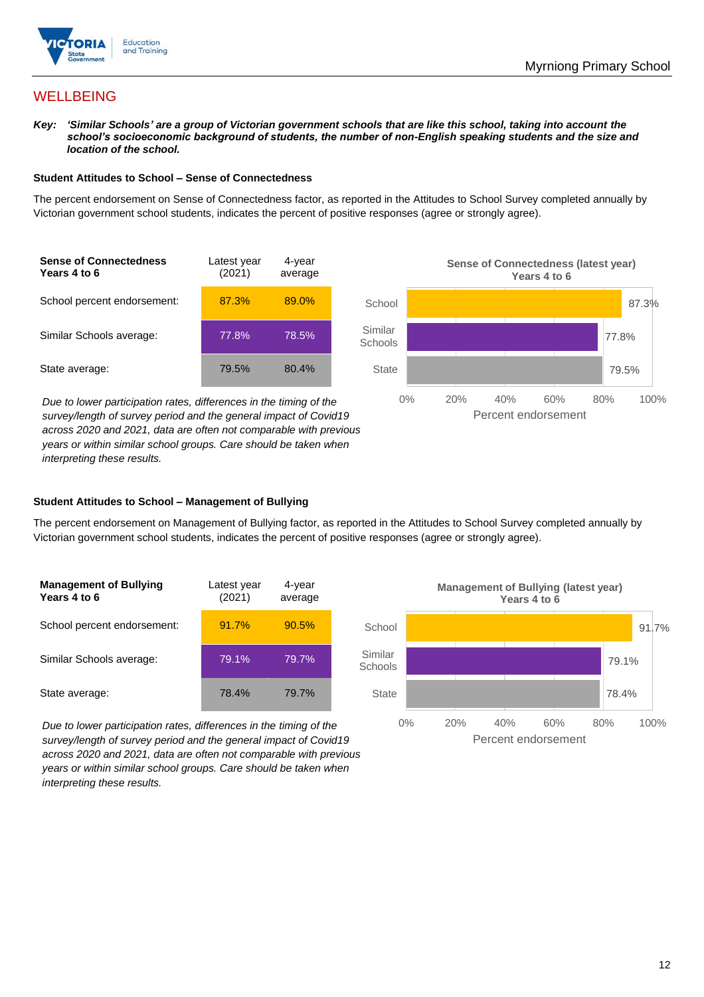

## **WELLBEING**

*Key: 'Similar Schools' are a group of Victorian government schools that are like this school, taking into account the school's socioeconomic background of students, the number of non-English speaking students and the size and location of the school.*

#### **Student Attitudes to School – Sense of Connectedness**

The percent endorsement on Sense of Connectedness factor, as reported in the Attitudes to School Survey completed annually by Victorian government school students, indicates the percent of positive responses (agree or strongly agree).



*Due to lower participation rates, differences in the timing of the survey/length of survey period and the general impact of Covid19 across 2020 and 2021, data are often not comparable with previous years or within similar school groups. Care should be taken when interpreting these results.*



### **Student Attitudes to School – Management of Bullying**

The percent endorsement on Management of Bullying factor, as reported in the Attitudes to School Survey completed annually by Victorian government school students, indicates the percent of positive responses (agree or strongly agree).

| <b>Management of Bullying</b><br>Years 4 to 6 | Latest year<br>(2021) | 4-year<br>average |  |
|-----------------------------------------------|-----------------------|-------------------|--|
| School percent endorsement:                   | 91.7%                 | 90.5%             |  |
| Similar Schools average:                      | 79.1%                 | 79.7%             |  |
| State average:                                | 78.4%                 | 79.7%             |  |

*Due to lower participation rates, differences in the timing of the survey/length of survey period and the general impact of Covid19 across 2020 and 2021, data are often not comparable with previous years or within similar school groups. Care should be taken when interpreting these results.*

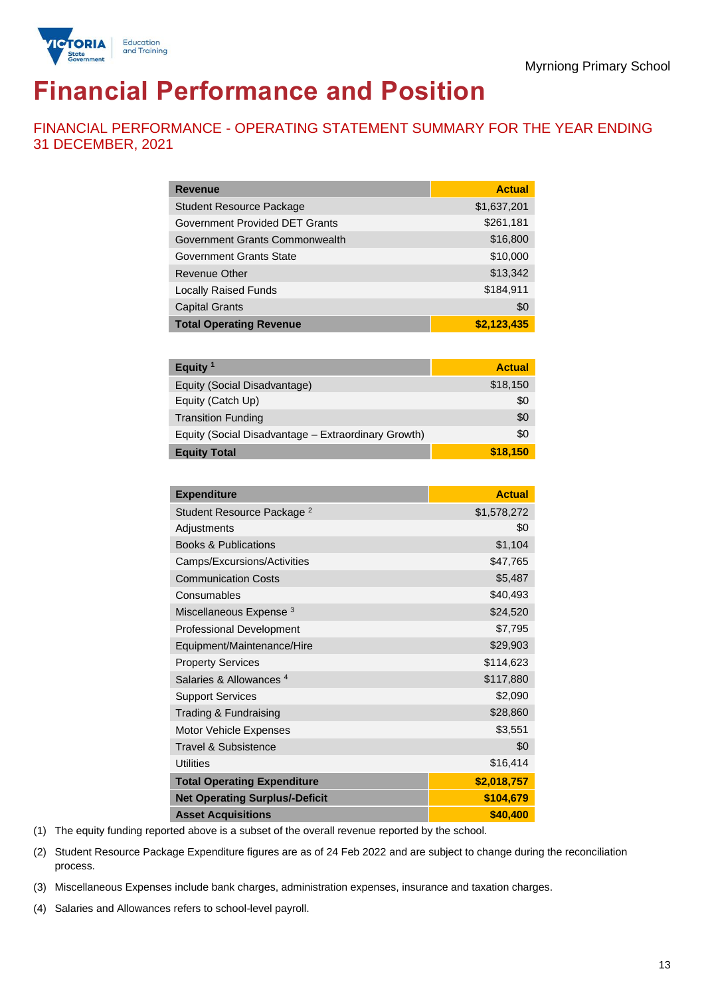

# **Financial Performance and Position**

FINANCIAL PERFORMANCE - OPERATING STATEMENT SUMMARY FOR THE YEAR ENDING 31 DECEMBER, 2021

| <b>Revenue</b>                  | <b>Actual</b> |
|---------------------------------|---------------|
| <b>Student Resource Package</b> | \$1,637,201   |
| Government Provided DET Grants  | \$261,181     |
| Government Grants Commonwealth  | \$16,800      |
| <b>Government Grants State</b>  | \$10,000      |
| <b>Revenue Other</b>            | \$13,342      |
| <b>Locally Raised Funds</b>     | \$184,911     |
| <b>Capital Grants</b>           | \$0           |
| <b>Total Operating Revenue</b>  | \$2,123,435   |

| Equity <sup>1</sup>                                 | <b>Actual</b> |
|-----------------------------------------------------|---------------|
| Equity (Social Disadvantage)                        | \$18,150      |
| Equity (Catch Up)                                   | \$0           |
| <b>Transition Funding</b>                           | \$0           |
| Equity (Social Disadvantage - Extraordinary Growth) | \$0           |
| <b>Equity Total</b>                                 | \$18,150      |

| <b>Expenditure</b>                    | <b>Actual</b> |
|---------------------------------------|---------------|
| Student Resource Package <sup>2</sup> | \$1,578,272   |
| Adjustments                           | \$0           |
| <b>Books &amp; Publications</b>       | \$1,104       |
| Camps/Excursions/Activities           | \$47,765      |
| <b>Communication Costs</b>            | \$5,487       |
| Consumables                           | \$40,493      |
| Miscellaneous Expense <sup>3</sup>    | \$24,520      |
| <b>Professional Development</b>       | \$7,795       |
| Equipment/Maintenance/Hire            | \$29,903      |
| <b>Property Services</b>              | \$114,623     |
| Salaries & Allowances <sup>4</sup>    | \$117,880     |
| <b>Support Services</b>               | \$2,090       |
| Trading & Fundraising                 | \$28,860      |
| Motor Vehicle Expenses                | \$3,551       |
| Travel & Subsistence                  | \$0           |
| <b>Utilities</b>                      | \$16,414      |
| <b>Total Operating Expenditure</b>    | \$2,018,757   |
| <b>Net Operating Surplus/-Deficit</b> | \$104,679     |
| <b>Asset Acquisitions</b>             | \$40,400      |

(1) The equity funding reported above is a subset of the overall revenue reported by the school.

(2) Student Resource Package Expenditure figures are as of 24 Feb 2022 and are subject to change during the reconciliation process.

(3) Miscellaneous Expenses include bank charges, administration expenses, insurance and taxation charges.

(4) Salaries and Allowances refers to school-level payroll.